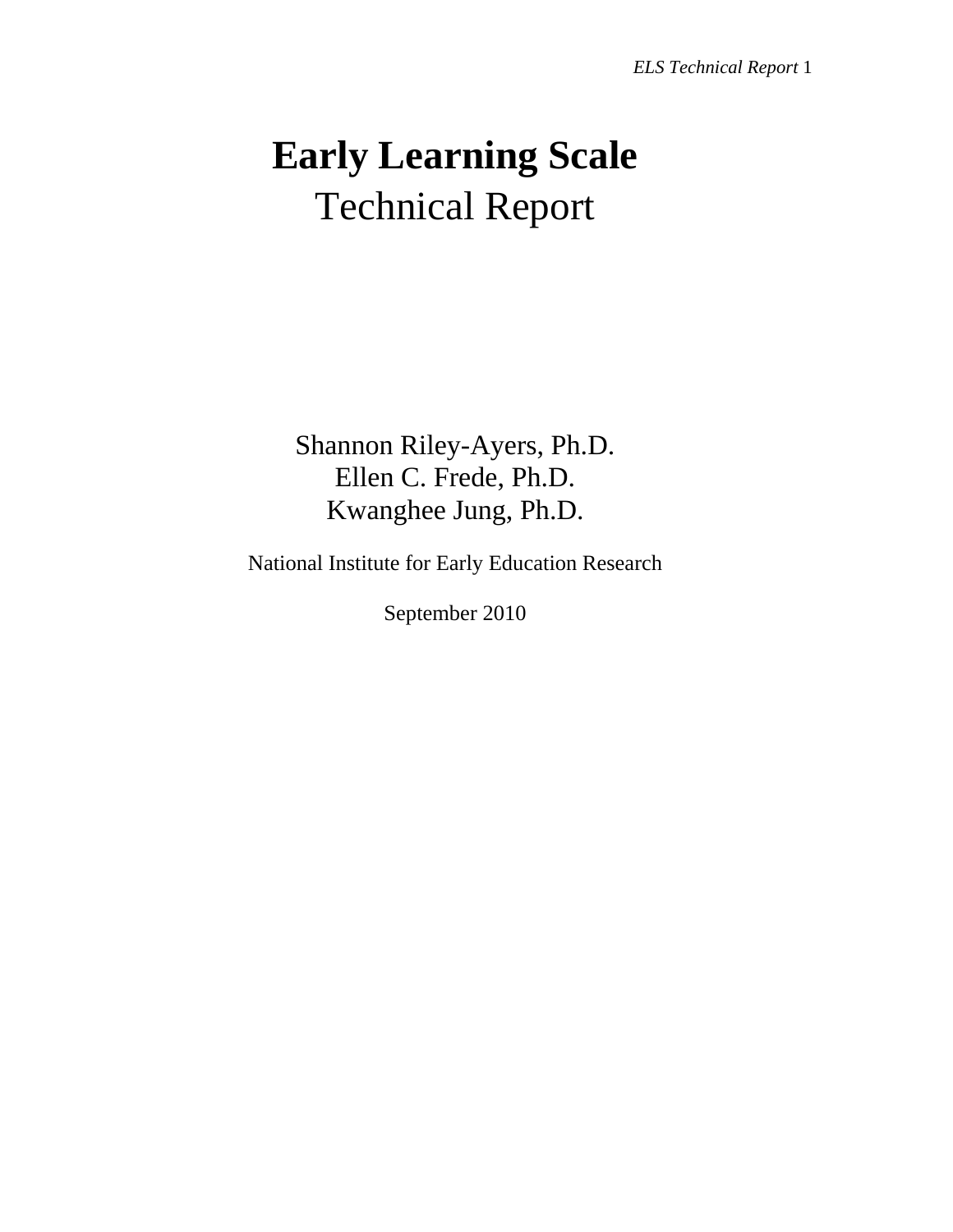# **Early Learning Scale**  Technical Report

Shannon Riley-Ayers, Ph.D. Ellen C. Frede, Ph.D. Kwanghee Jung, Ph.D.

National Institute for Early Education Research

September 2010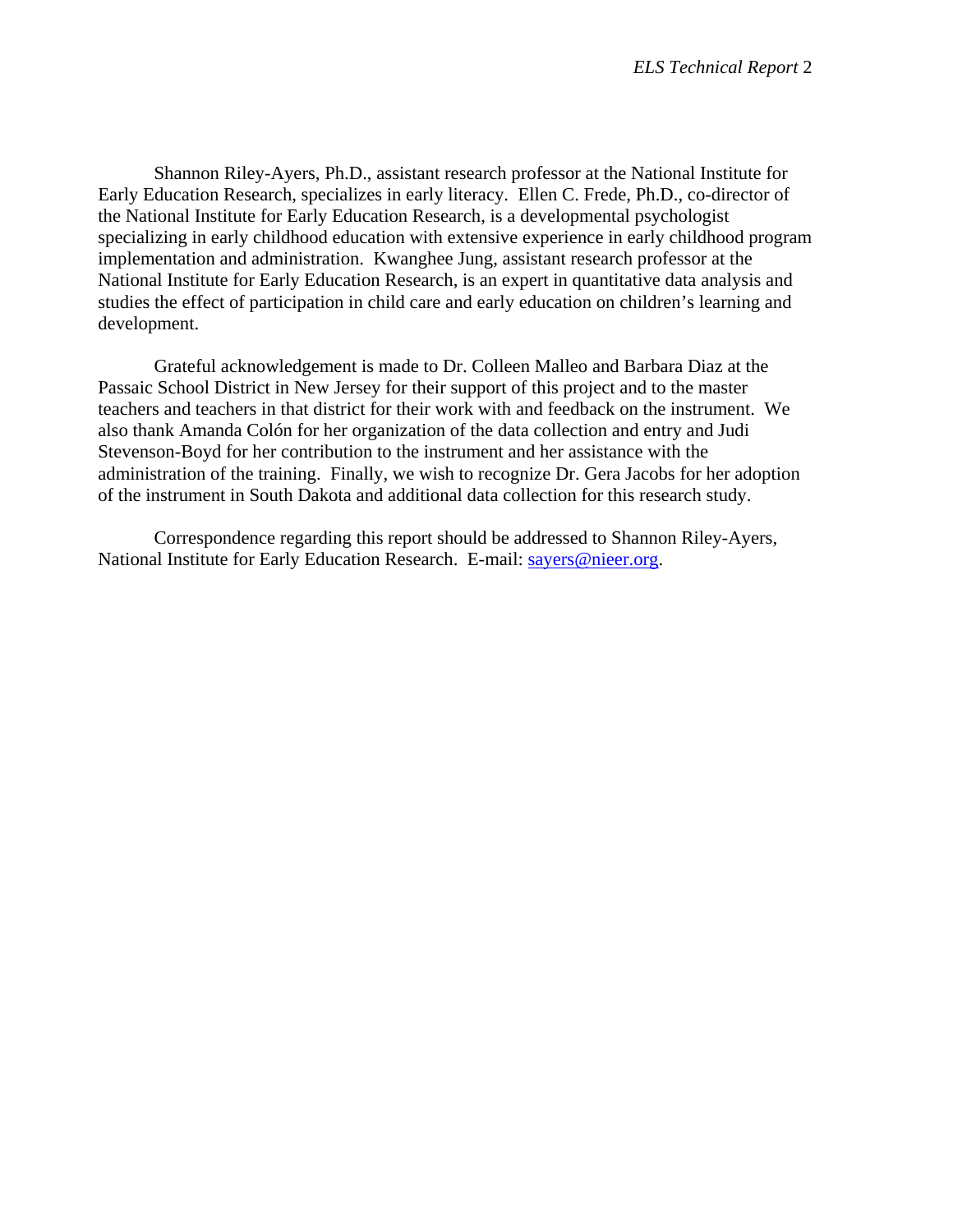Shannon Riley-Ayers, Ph.D., assistant research professor at the National Institute for Early Education Research, specializes in early literacy. Ellen C. Frede, Ph.D., co-director of the National Institute for Early Education Research, is a developmental psychologist specializing in early childhood education with extensive experience in early childhood program implementation and administration. Kwanghee Jung, assistant research professor at the National Institute for Early Education Research, is an expert in quantitative data analysis and studies the effect of participation in child care and early education on children's learning and development.

 Grateful acknowledgement is made to Dr. Colleen Malleo and Barbara Diaz at the Passaic School District in New Jersey for their support of this project and to the master teachers and teachers in that district for their work with and feedback on the instrument. We also thank Amanda Colón for her organization of the data collection and entry and Judi Stevenson-Boyd for her contribution to the instrument and her assistance with the administration of the training. Finally, we wish to recognize Dr. Gera Jacobs for her adoption of the instrument in South Dakota and additional data collection for this research study.

 Correspondence regarding this report should be addressed to Shannon Riley-Ayers, National Institute for Early Education Research. E-mail: sayers@nieer.org.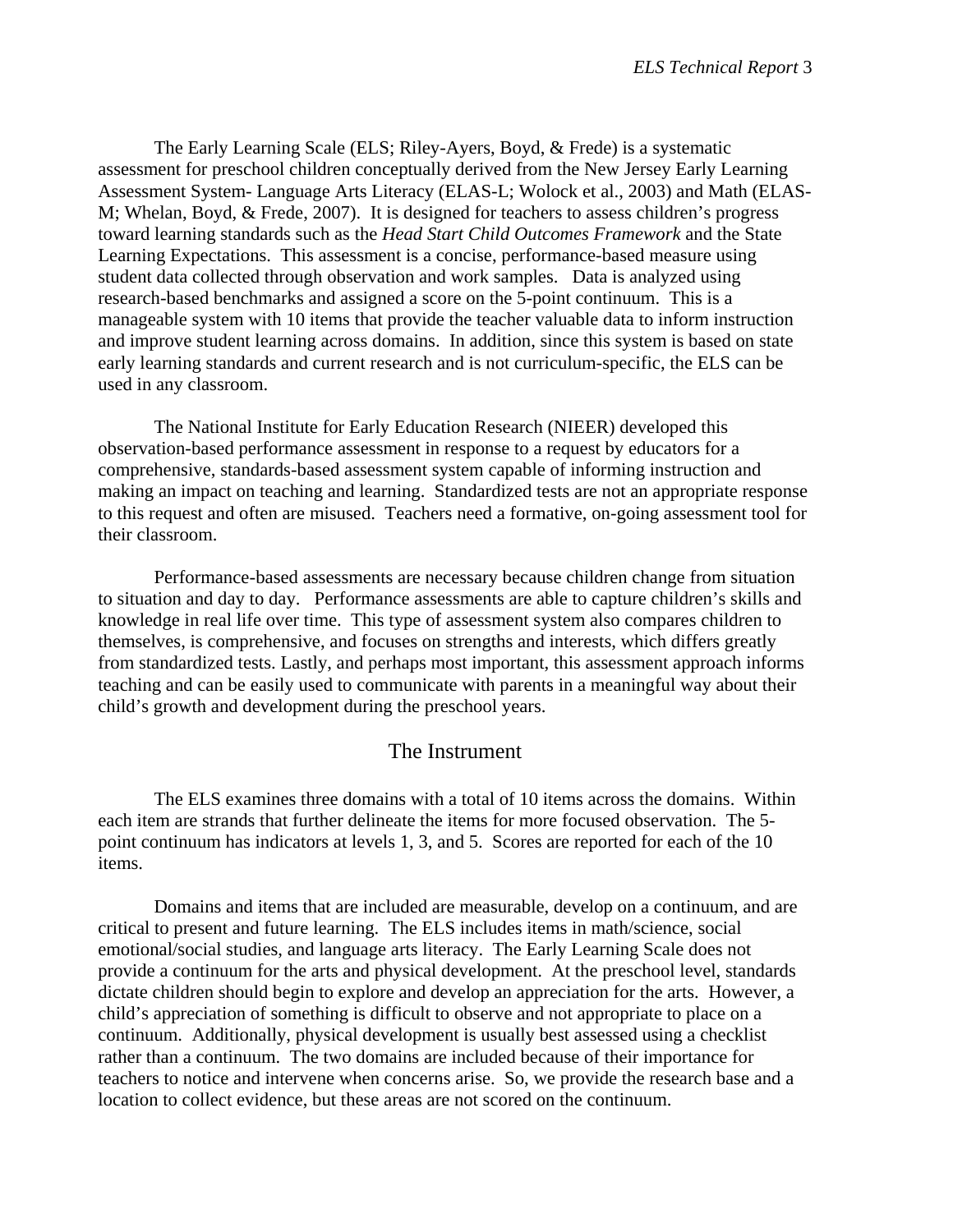The Early Learning Scale (ELS; Riley-Ayers, Boyd, & Frede) is a systematic assessment for preschool children conceptually derived from the New Jersey Early Learning Assessment System- Language Arts Literacy (ELAS-L; Wolock et al., 2003) and Math (ELAS-M; Whelan, Boyd, & Frede, 2007). It is designed for teachers to assess children's progress toward learning standards such as the *Head Start Child Outcomes Framework* and the State Learning Expectations. This assessment is a concise, performance-based measure using student data collected through observation and work samples. Data is analyzed using research-based benchmarks and assigned a score on the 5-point continuum. This is a manageable system with 10 items that provide the teacher valuable data to inform instruction and improve student learning across domains. In addition, since this system is based on state early learning standards and current research and is not curriculum-specific, the ELS can be used in any classroom.

 The National Institute for Early Education Research (NIEER) developed this observation-based performance assessment in response to a request by educators for a comprehensive, standards-based assessment system capable of informing instruction and making an impact on teaching and learning. Standardized tests are not an appropriate response to this request and often are misused. Teachers need a formative, on-going assessment tool for their classroom.

 Performance-based assessments are necessary because children change from situation to situation and day to day. Performance assessments are able to capture children's skills and knowledge in real life over time. This type of assessment system also compares children to themselves, is comprehensive, and focuses on strengths and interests, which differs greatly from standardized tests. Lastly, and perhaps most important, this assessment approach informs teaching and can be easily used to communicate with parents in a meaningful way about their child's growth and development during the preschool years.

# The Instrument

 The ELS examines three domains with a total of 10 items across the domains. Within each item are strands that further delineate the items for more focused observation. The 5 point continuum has indicators at levels 1, 3, and 5. Scores are reported for each of the 10 items.

 Domains and items that are included are measurable, develop on a continuum, and are critical to present and future learning. The ELS includes items in math/science, social emotional/social studies, and language arts literacy. The Early Learning Scale does not provide a continuum for the arts and physical development. At the preschool level, standards dictate children should begin to explore and develop an appreciation for the arts. However, a child's appreciation of something is difficult to observe and not appropriate to place on a continuum. Additionally, physical development is usually best assessed using a checklist rather than a continuum. The two domains are included because of their importance for teachers to notice and intervene when concerns arise. So, we provide the research base and a location to collect evidence, but these areas are not scored on the continuum.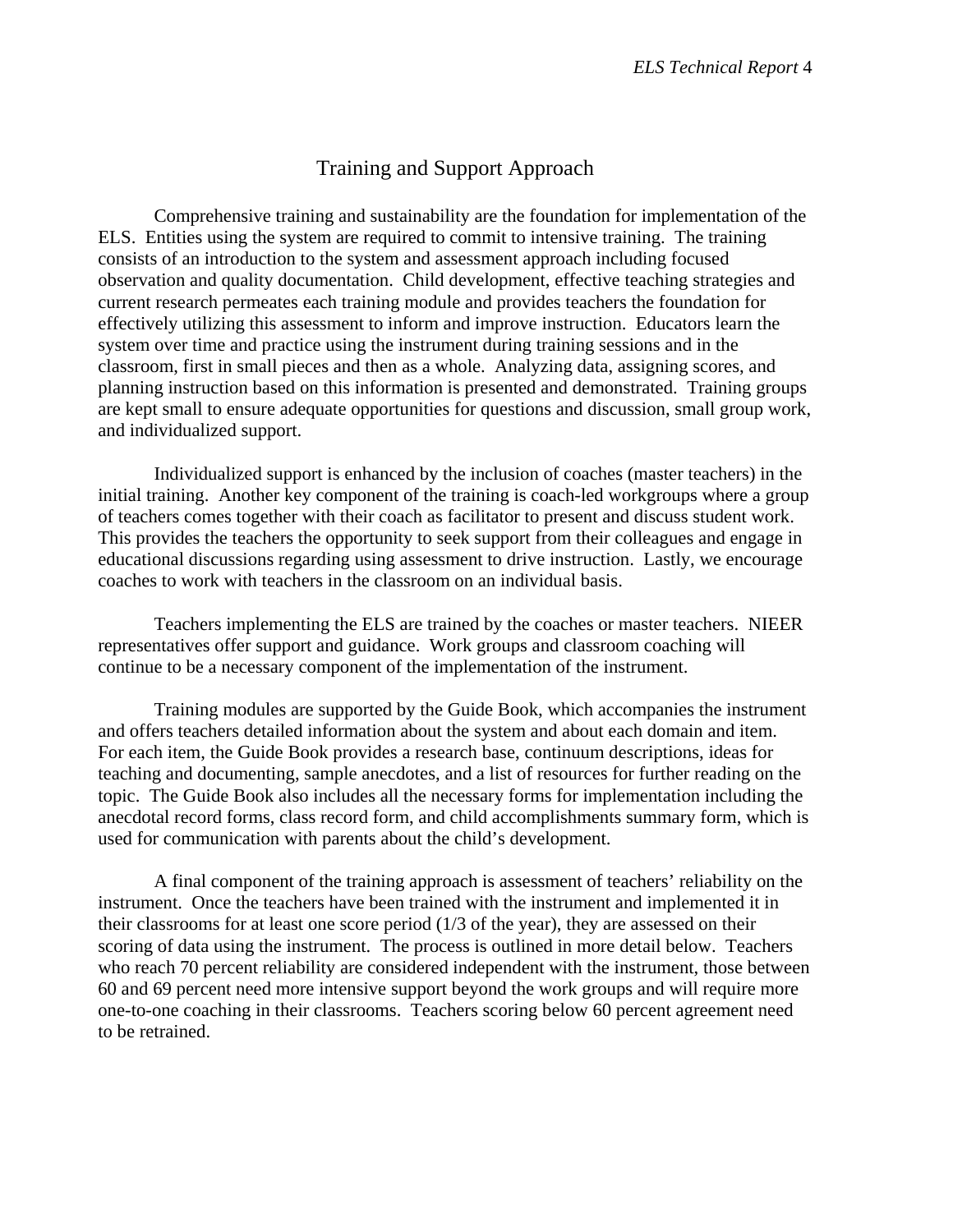# Training and Support Approach

 Comprehensive training and sustainability are the foundation for implementation of the ELS. Entities using the system are required to commit to intensive training. The training consists of an introduction to the system and assessment approach including focused observation and quality documentation. Child development, effective teaching strategies and current research permeates each training module and provides teachers the foundation for effectively utilizing this assessment to inform and improve instruction. Educators learn the system over time and practice using the instrument during training sessions and in the classroom, first in small pieces and then as a whole. Analyzing data, assigning scores, and planning instruction based on this information is presented and demonstrated. Training groups are kept small to ensure adequate opportunities for questions and discussion, small group work, and individualized support.

 Individualized support is enhanced by the inclusion of coaches (master teachers) in the initial training. Another key component of the training is coach-led workgroups where a group of teachers comes together with their coach as facilitator to present and discuss student work. This provides the teachers the opportunity to seek support from their colleagues and engage in educational discussions regarding using assessment to drive instruction. Lastly, we encourage coaches to work with teachers in the classroom on an individual basis.

 Teachers implementing the ELS are trained by the coaches or master teachers. NIEER representatives offer support and guidance. Work groups and classroom coaching will continue to be a necessary component of the implementation of the instrument.

 Training modules are supported by the Guide Book, which accompanies the instrument and offers teachers detailed information about the system and about each domain and item. For each item, the Guide Book provides a research base, continuum descriptions, ideas for teaching and documenting, sample anecdotes, and a list of resources for further reading on the topic. The Guide Book also includes all the necessary forms for implementation including the anecdotal record forms, class record form, and child accomplishments summary form, which is used for communication with parents about the child's development.

 A final component of the training approach is assessment of teachers' reliability on the instrument. Once the teachers have been trained with the instrument and implemented it in their classrooms for at least one score period (1/3 of the year), they are assessed on their scoring of data using the instrument. The process is outlined in more detail below. Teachers who reach 70 percent reliability are considered independent with the instrument, those between 60 and 69 percent need more intensive support beyond the work groups and will require more one-to-one coaching in their classrooms. Teachers scoring below 60 percent agreement need to be retrained.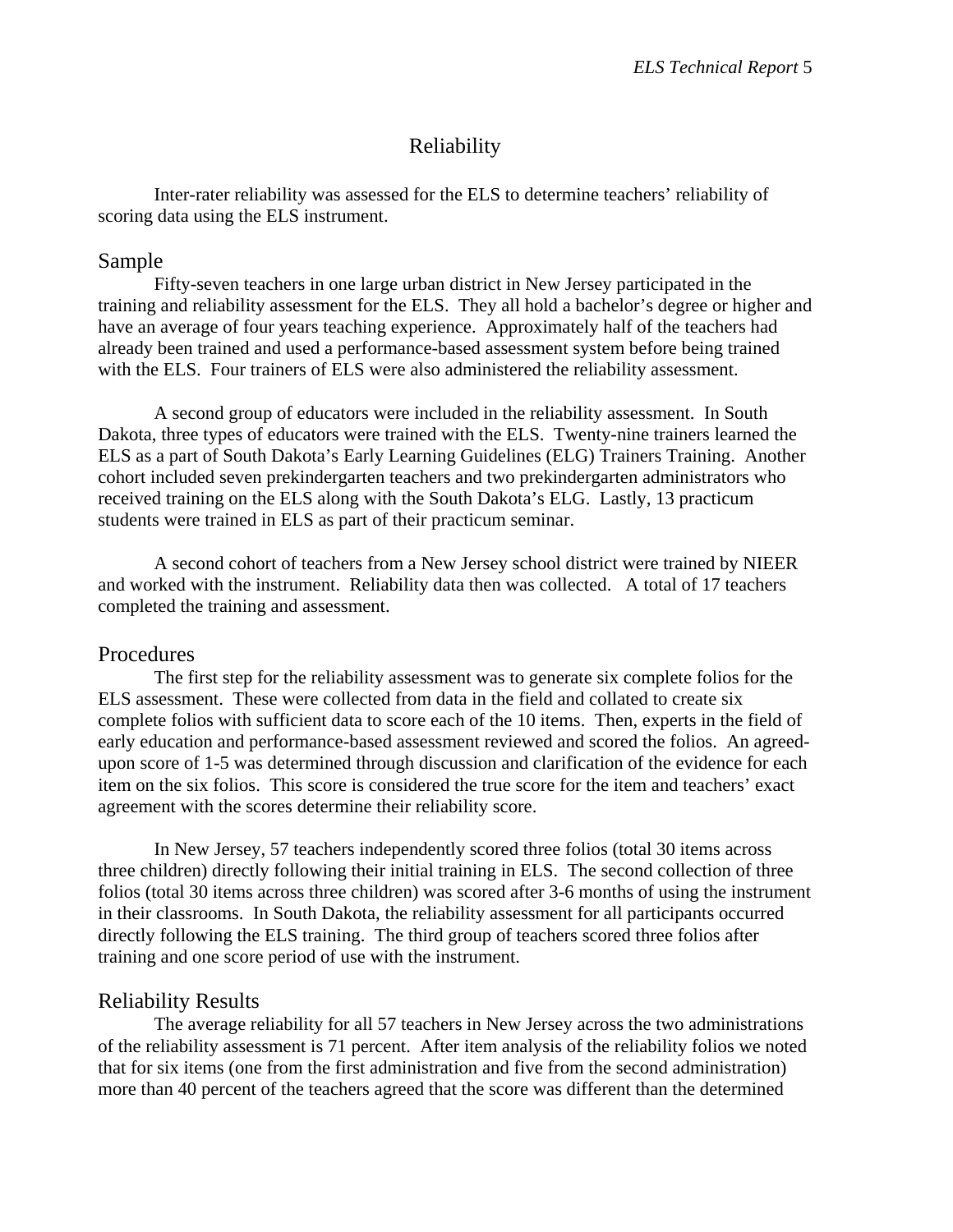# Reliability

 Inter-rater reliability was assessed for the ELS to determine teachers' reliability of scoring data using the ELS instrument.

### Sample

 Fifty-seven teachers in one large urban district in New Jersey participated in the training and reliability assessment for the ELS. They all hold a bachelor's degree or higher and have an average of four years teaching experience. Approximately half of the teachers had already been trained and used a performance-based assessment system before being trained with the ELS. Four trainers of ELS were also administered the reliability assessment.

 A second group of educators were included in the reliability assessment. In South Dakota, three types of educators were trained with the ELS. Twenty-nine trainers learned the ELS as a part of South Dakota's Early Learning Guidelines (ELG) Trainers Training. Another cohort included seven prekindergarten teachers and two prekindergarten administrators who received training on the ELS along with the South Dakota's ELG. Lastly, 13 practicum students were trained in ELS as part of their practicum seminar.

 A second cohort of teachers from a New Jersey school district were trained by NIEER and worked with the instrument. Reliability data then was collected. A total of 17 teachers completed the training and assessment.

#### Procedures

 The first step for the reliability assessment was to generate six complete folios for the ELS assessment. These were collected from data in the field and collated to create six complete folios with sufficient data to score each of the 10 items. Then, experts in the field of early education and performance-based assessment reviewed and scored the folios. An agreedupon score of 1-5 was determined through discussion and clarification of the evidence for each item on the six folios. This score is considered the true score for the item and teachers' exact agreement with the scores determine their reliability score.

 In New Jersey, 57 teachers independently scored three folios (total 30 items across three children) directly following their initial training in ELS. The second collection of three folios (total 30 items across three children) was scored after 3-6 months of using the instrument in their classrooms. In South Dakota, the reliability assessment for all participants occurred directly following the ELS training. The third group of teachers scored three folios after training and one score period of use with the instrument.

## Reliability Results

 The average reliability for all 57 teachers in New Jersey across the two administrations of the reliability assessment is 71 percent. After item analysis of the reliability folios we noted that for six items (one from the first administration and five from the second administration) more than 40 percent of the teachers agreed that the score was different than the determined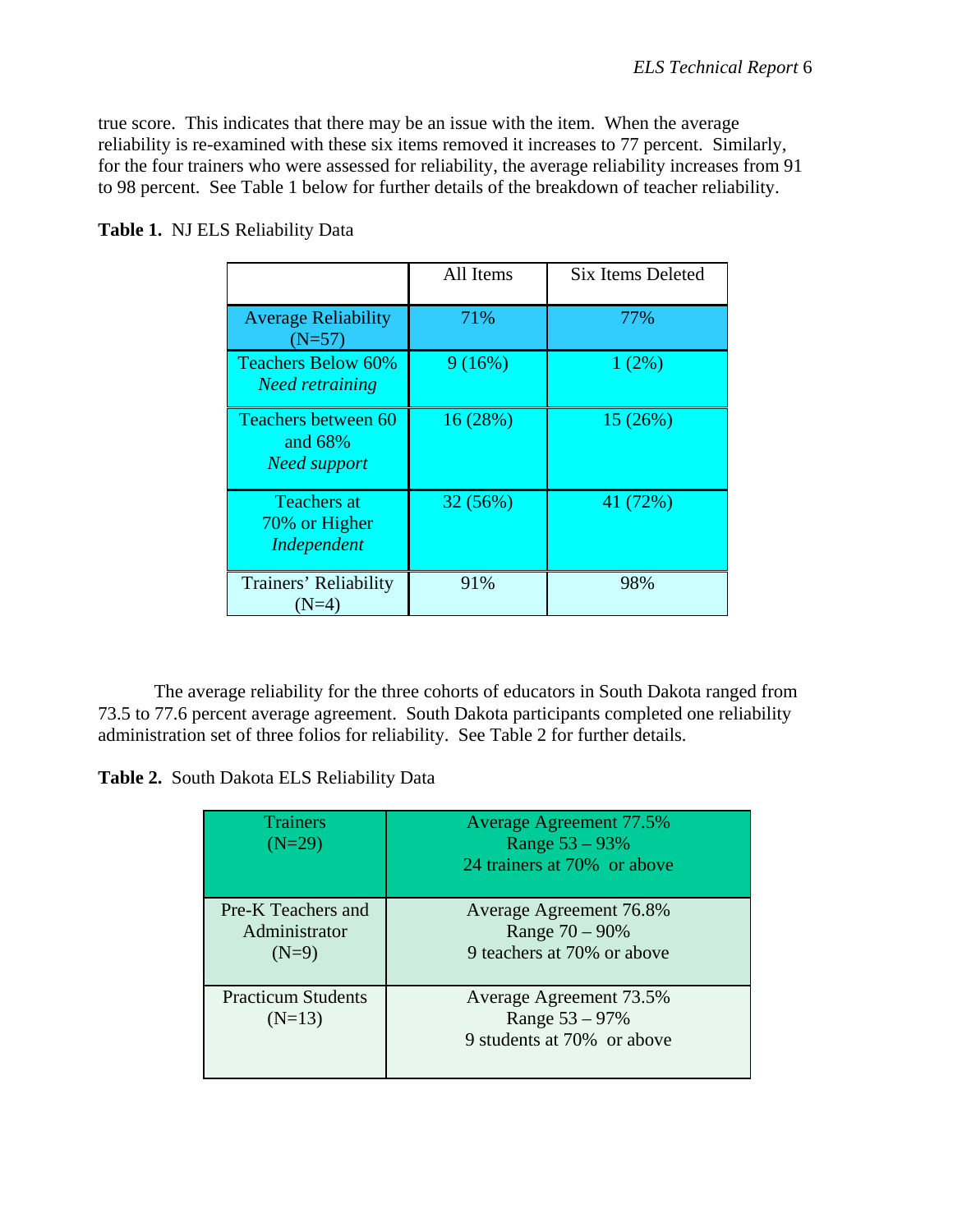true score. This indicates that there may be an issue with the item. When the average reliability is re-examined with these six items removed it increases to 77 percent. Similarly, for the four trainers who were assessed for reliability, the average reliability increases from 91 to 98 percent. See Table 1 below for further details of the breakdown of teacher reliability.

|                                                       | All Items | <b>Six Items Deleted</b> |
|-------------------------------------------------------|-----------|--------------------------|
| <b>Average Reliability</b><br>$(N=57)$                | 71%       | 77%                      |
| <b>Teachers Below 60%</b><br><b>Need retraining</b>   | 9(16%)    | 1(2%)                    |
| Teachers between 60<br>and 68%<br><b>Need support</b> | 16(28%)   | 15(26%)                  |
| <b>Teachers at</b><br>70% or Higher<br>Independent    | 32(56%)   | 41 (72%)                 |
| Trainers' Reliability<br>(N=4)                        | 91%       | 98%                      |

**Table 1.** NJ ELS Reliability Data

 The average reliability for the three cohorts of educators in South Dakota ranged from 73.5 to 77.6 percent average agreement. South Dakota participants completed one reliability administration set of three folios for reliability. See Table 2 for further details.

**Table 2.** South Dakota ELS Reliability Data

| <b>Trainers</b><br>$(N=29)$                    | <b>Average Agreement 77.5%</b><br>Range $53 - 93%$<br>24 trainers at 70% or above |
|------------------------------------------------|-----------------------------------------------------------------------------------|
| Pre-K Teachers and<br>Administrator<br>$(N=9)$ | Average Agreement 76.8%<br>Range $70 - 90\%$<br>9 teachers at 70% or above        |
| <b>Practicum Students</b><br>$(N=13)$          | Average Agreement 73.5%<br>Range $53 - 97\%$<br>9 students at 70% or above        |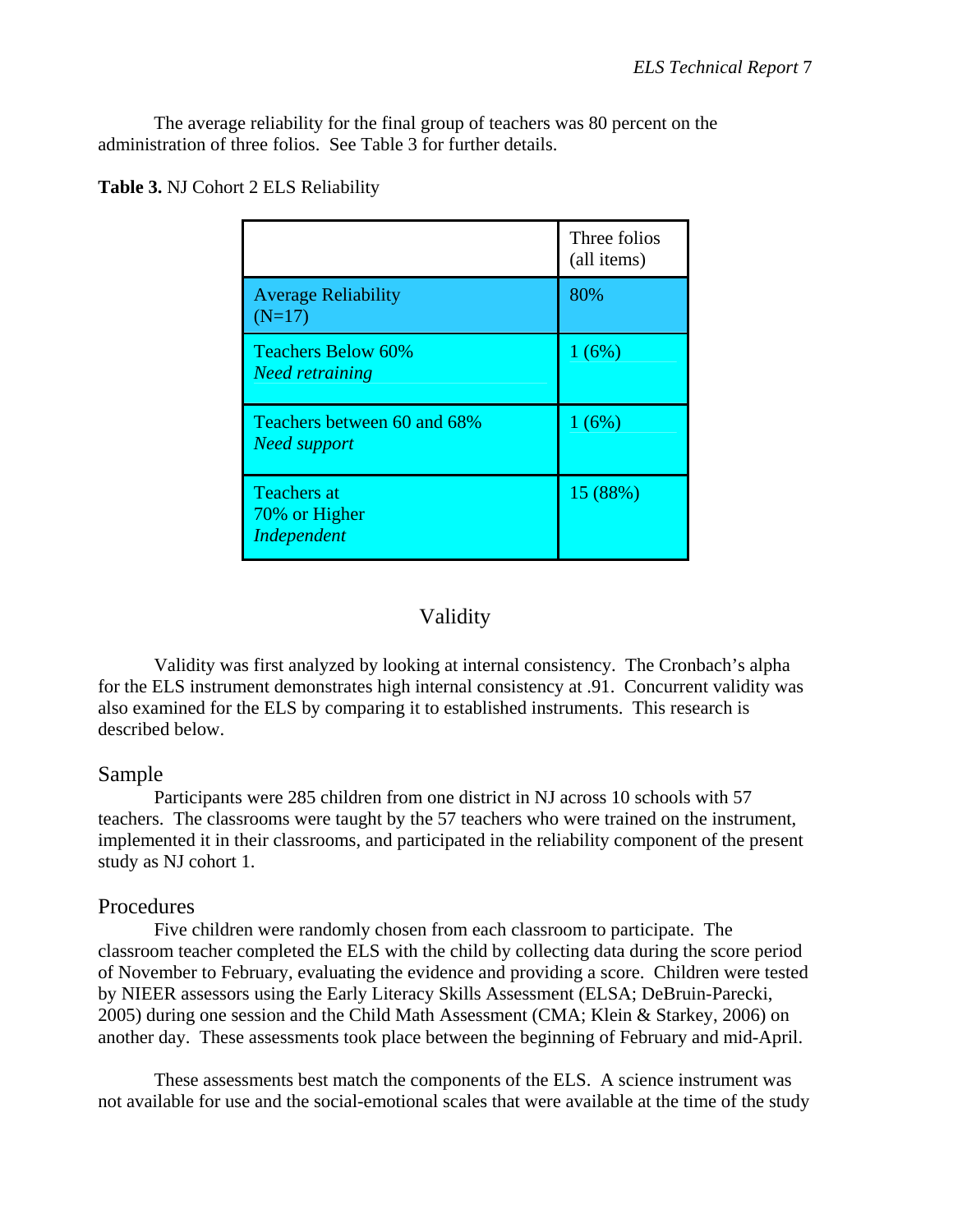The average reliability for the final group of teachers was 80 percent on the administration of three folios. See Table 3 for further details.

|                                                     | Three folios<br>(all items) |
|-----------------------------------------------------|-----------------------------|
| <b>Average Reliability</b><br>$(N=17)$              | 80%                         |
| <b>Teachers Below 60%</b><br><b>Need retraining</b> | 1(6%)                       |
| Teachers between 60 and 68%<br><b>Need support</b>  | 1(6%)                       |
| <b>Teachers at</b><br>70% or Higher<br>Independent  | 15 (88%)                    |

**Table 3.** NJ Cohort 2 ELS Reliability

## Validity

 Validity was first analyzed by looking at internal consistency. The Cronbach's alpha for the ELS instrument demonstrates high internal consistency at .91. Concurrent validity was also examined for the ELS by comparing it to established instruments. This research is described below.

## Sample

 Participants were 285 children from one district in NJ across 10 schools with 57 teachers. The classrooms were taught by the 57 teachers who were trained on the instrument, implemented it in their classrooms, and participated in the reliability component of the present study as NJ cohort 1.

## Procedures

Five children were randomly chosen from each classroom to participate. The classroom teacher completed the ELS with the child by collecting data during the score period of November to February, evaluating the evidence and providing a score. Children were tested by NIEER assessors using the Early Literacy Skills Assessment (ELSA; DeBruin-Parecki, 2005) during one session and the Child Math Assessment (CMA; Klein & Starkey, 2006) on another day. These assessments took place between the beginning of February and mid-April.

 These assessments best match the components of the ELS. A science instrument was not available for use and the social-emotional scales that were available at the time of the study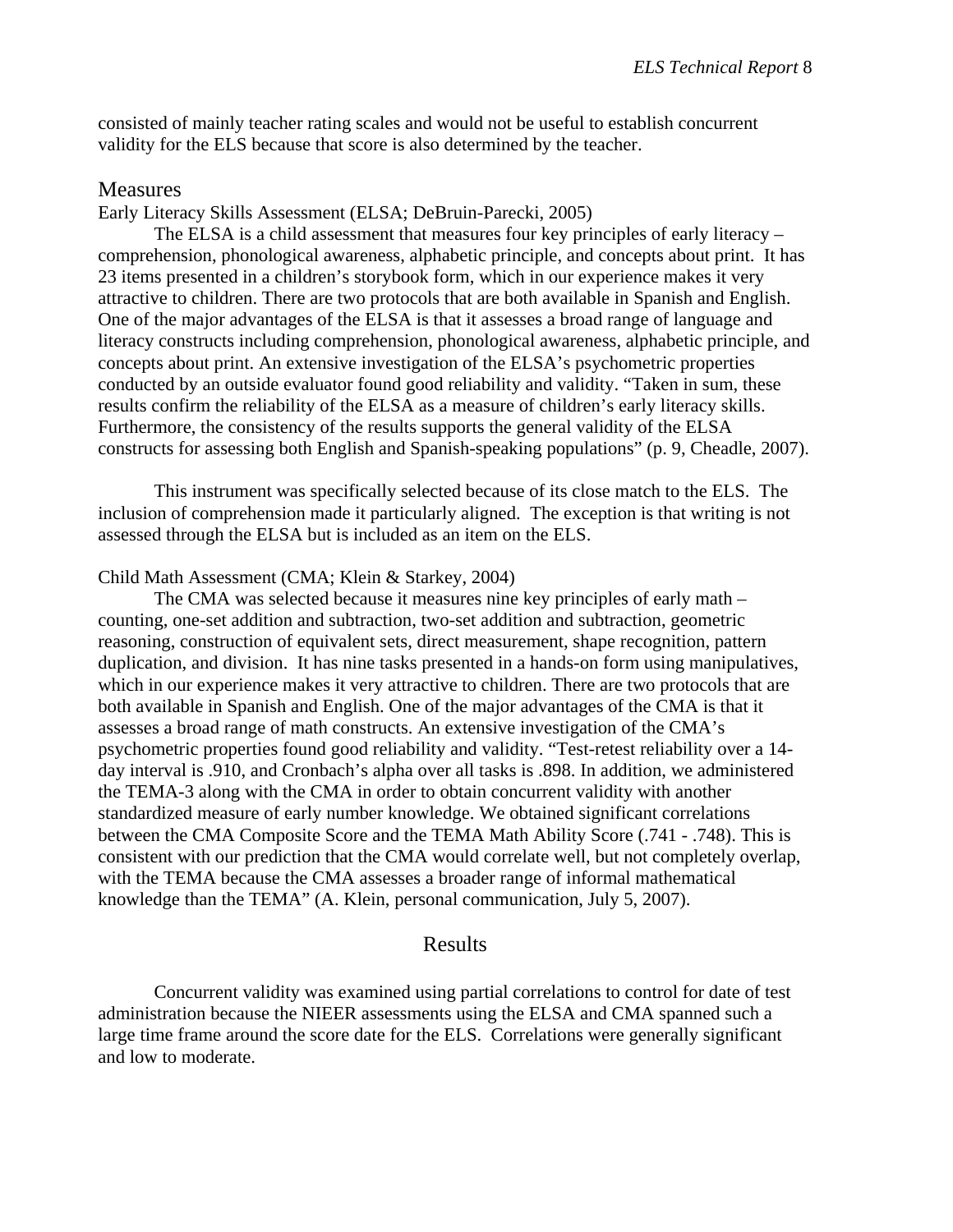consisted of mainly teacher rating scales and would not be useful to establish concurrent validity for the ELS because that score is also determined by the teacher.

### **Measures**

Early Literacy Skills Assessment (ELSA; DeBruin-Parecki, 2005)

 The ELSA is a child assessment that measures four key principles of early literacy – comprehension, phonological awareness, alphabetic principle, and concepts about print. It has 23 items presented in a children's storybook form, which in our experience makes it very attractive to children. There are two protocols that are both available in Spanish and English. One of the major advantages of the ELSA is that it assesses a broad range of language and literacy constructs including comprehension, phonological awareness, alphabetic principle, and concepts about print. An extensive investigation of the ELSA's psychometric properties conducted by an outside evaluator found good reliability and validity. "Taken in sum, these results confirm the reliability of the ELSA as a measure of children's early literacy skills. Furthermore, the consistency of the results supports the general validity of the ELSA constructs for assessing both English and Spanish-speaking populations" (p. 9, Cheadle, 2007).

 This instrument was specifically selected because of its close match to the ELS. The inclusion of comprehension made it particularly aligned. The exception is that writing is not assessed through the ELSA but is included as an item on the ELS.

#### Child Math Assessment (CMA; Klein & Starkey, 2004)

 The CMA was selected because it measures nine key principles of early math – counting, one-set addition and subtraction, two-set addition and subtraction, geometric reasoning, construction of equivalent sets, direct measurement, shape recognition, pattern duplication, and division. It has nine tasks presented in a hands-on form using manipulatives, which in our experience makes it very attractive to children. There are two protocols that are both available in Spanish and English. One of the major advantages of the CMA is that it assesses a broad range of math constructs. An extensive investigation of the CMA's psychometric properties found good reliability and validity. "Test-retest reliability over a 14 day interval is .910, and Cronbach's alpha over all tasks is .898. In addition, we administered the TEMA-3 along with the CMA in order to obtain concurrent validity with another standardized measure of early number knowledge. We obtained significant correlations between the CMA Composite Score and the TEMA Math Ability Score (.741 - .748). This is consistent with our prediction that the CMA would correlate well, but not completely overlap, with the TEMA because the CMA assesses a broader range of informal mathematical knowledge than the TEMA" (A. Klein, personal communication, July 5, 2007).

### Results

 Concurrent validity was examined using partial correlations to control for date of test administration because the NIEER assessments using the ELSA and CMA spanned such a large time frame around the score date for the ELS. Correlations were generally significant and low to moderate.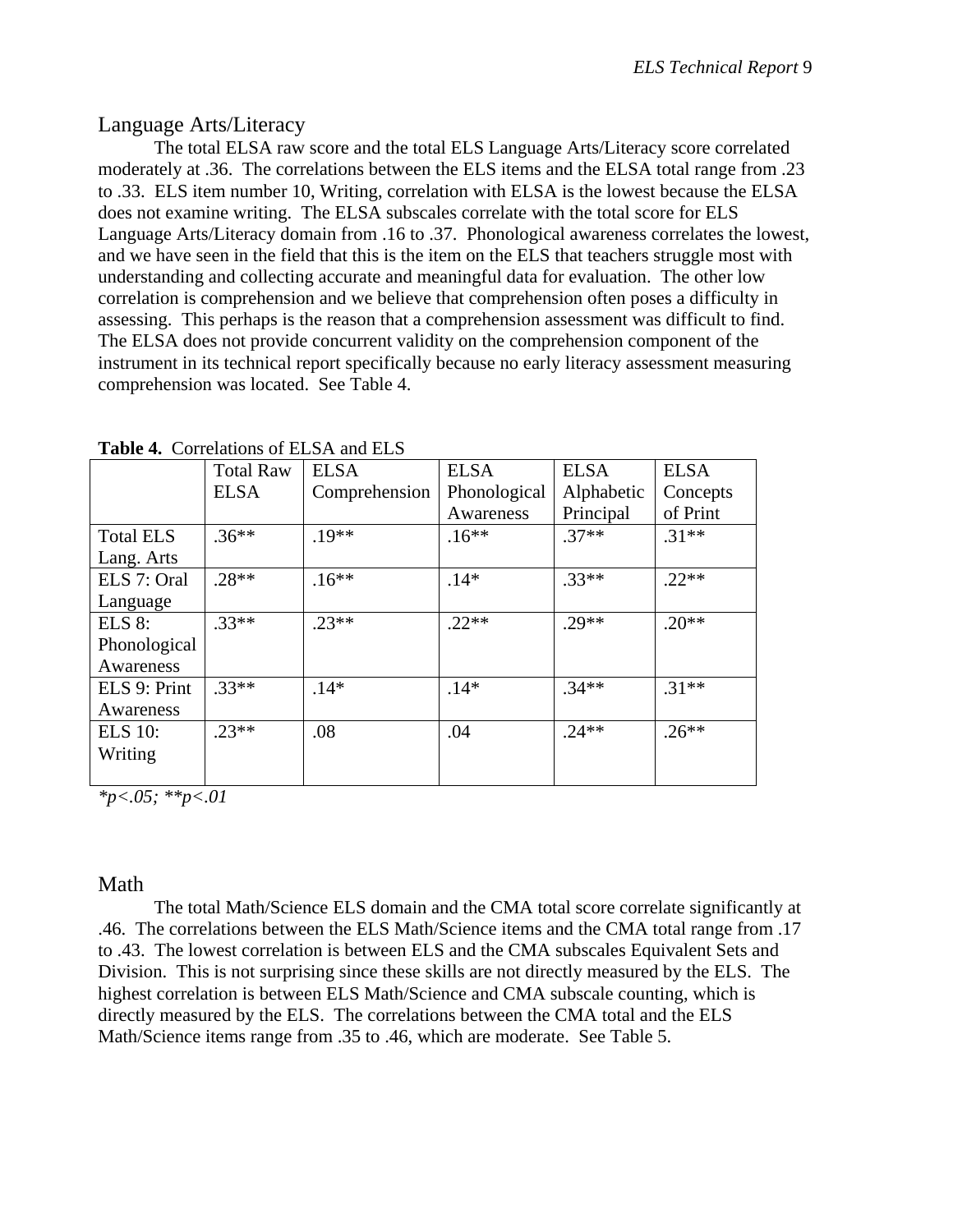# Language Arts/Literacy

 The total ELSA raw score and the total ELS Language Arts/Literacy score correlated moderately at .36. The correlations between the ELS items and the ELSA total range from .23 to .33. ELS item number 10, Writing, correlation with ELSA is the lowest because the ELSA does not examine writing. The ELSA subscales correlate with the total score for ELS Language Arts/Literacy domain from .16 to .37. Phonological awareness correlates the lowest, and we have seen in the field that this is the item on the ELS that teachers struggle most with understanding and collecting accurate and meaningful data for evaluation. The other low correlation is comprehension and we believe that comprehension often poses a difficulty in assessing. This perhaps is the reason that a comprehension assessment was difficult to find. The ELSA does not provide concurrent validity on the comprehension component of the instrument in its technical report specifically because no early literacy assessment measuring comprehension was located. See Table 4.

| <b>Table 4.</b> Correlations of ELSA and ELS |                  |               |              |             |             |  |  |  |
|----------------------------------------------|------------------|---------------|--------------|-------------|-------------|--|--|--|
|                                              | <b>Total Raw</b> | <b>ELSA</b>   | <b>ELSA</b>  | <b>ELSA</b> | <b>ELSA</b> |  |  |  |
|                                              | <b>ELSA</b>      | Comprehension | Phonological | Alphabetic  | Concepts    |  |  |  |
|                                              |                  |               | Awareness    | Principal   | of Print    |  |  |  |
| <b>Total ELS</b>                             | $.36***$         | $.19**$       | $.16**$      | $.37**$     | $.31**$     |  |  |  |
| Lang. Arts                                   |                  |               |              |             |             |  |  |  |
| ELS 7: Oral                                  | $.28**$          | $.16**$       | $.14*$       | $.33**$     | $.22**$     |  |  |  |
| Language                                     |                  |               |              |             |             |  |  |  |
| <b>ELS 8:</b>                                | $.33**$          | $.23**$       | $.22**$      | $.29**$     | $.20**$     |  |  |  |
| Phonological                                 |                  |               |              |             |             |  |  |  |
| Awareness                                    |                  |               |              |             |             |  |  |  |
| ELS 9: Print                                 | $.33**$          | $.14*$        | $.14*$       | $.34**$     | $.31**$     |  |  |  |
| Awareness                                    |                  |               |              |             |             |  |  |  |
| <b>ELS</b> 10:                               | $.23**$          | .08           | .04          | $.24**$     | $.26**$     |  |  |  |
| Writing                                      |                  |               |              |             |             |  |  |  |
|                                              |                  |               |              |             |             |  |  |  |

**Table 4.** Correlations of ELSA and ELS

*\*p<.05; \*\*p<.01* 

## Math

 The total Math/Science ELS domain and the CMA total score correlate significantly at .46. The correlations between the ELS Math/Science items and the CMA total range from .17 to .43. The lowest correlation is between ELS and the CMA subscales Equivalent Sets and Division. This is not surprising since these skills are not directly measured by the ELS. The highest correlation is between ELS Math/Science and CMA subscale counting, which is directly measured by the ELS. The correlations between the CMA total and the ELS Math/Science items range from .35 to .46, which are moderate. See Table 5.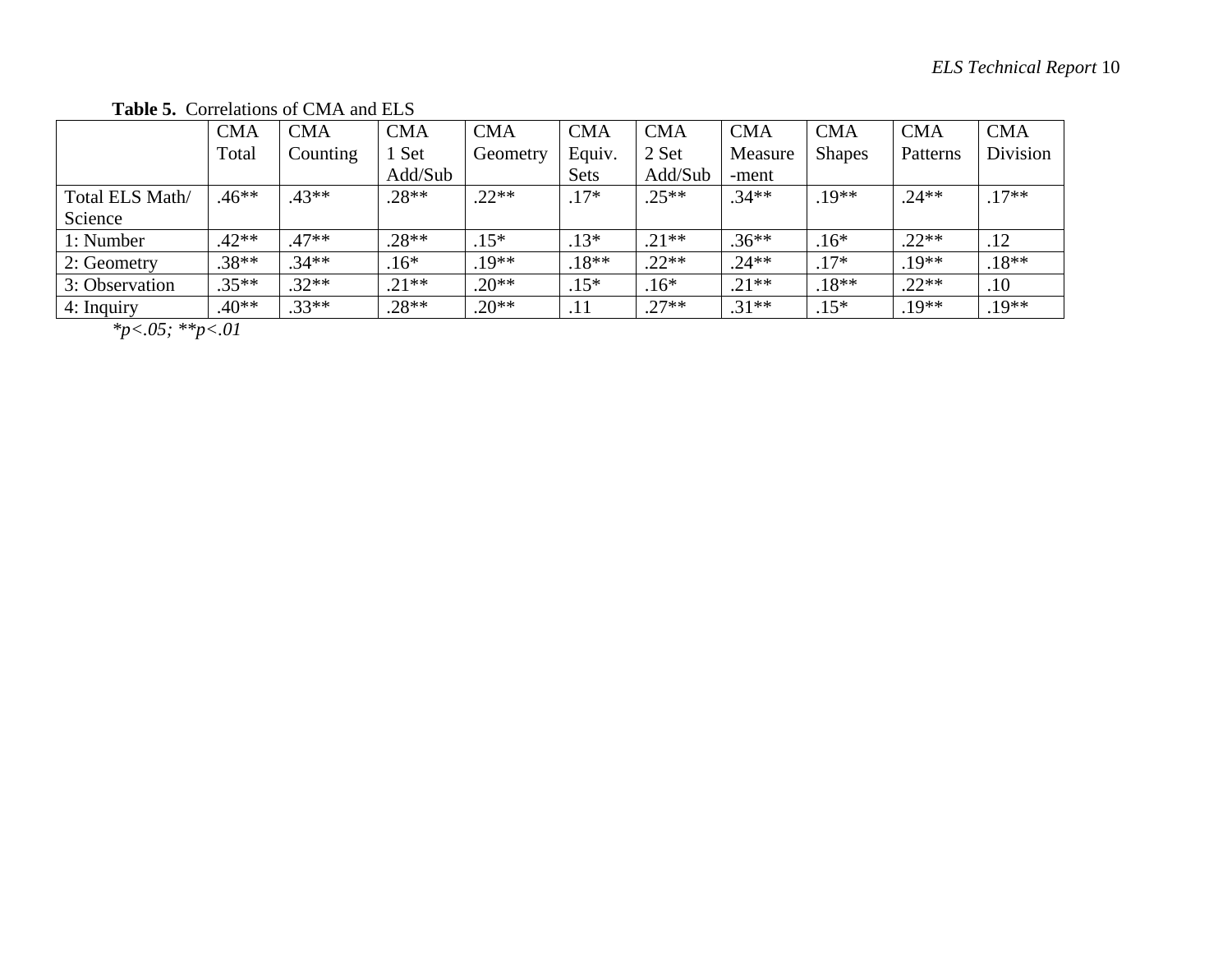**Table 5.** Correlations of CMA and ELS

|                 | CMA     | <b>CMA</b> | <b>CMA</b> | <b>CMA</b> | <b>CMA</b> | <b>CMA</b> | <b>CMA</b> | <b>CMA</b>    | <b>CMA</b> | <b>CMA</b> |
|-----------------|---------|------------|------------|------------|------------|------------|------------|---------------|------------|------------|
|                 | Total   | Counting   | Set        | Geometry   | Equiv.     | 2 Set      | Measure    | <b>Shapes</b> | Patterns   | Division   |
|                 |         |            | Add/Sub    |            | Sets       | Add/Sub    | -ment      |               |            |            |
| Total ELS Math/ | $.46**$ | $.43**$    | $.28**$    | $.22**$    | $.17*$     | $.25**$    | $.34**$    | $19**$        | $.24**$    | $.17**$    |
| Science         |         |            |            |            |            |            |            |               |            |            |
| 1: Number       | $.42**$ | $.47**$    | $.28**$    | $.15*$     | $.13*$     | $.21**$    | $.36**$    | $.16*$        | $.22**$    | .12        |
| 2: Geometry     | $.38**$ | $.34**$    | $.16*$     | $.19**$    | $.18**$    | $.22**$    | $.24**$    | $.17*$        | $.19**$    | $.18**$    |
| 3: Observation  | $.35**$ | $.32**$    | $.21**$    | $.20**$    | $.15*$     | $.16*$     | $.21**$    | $.18**$       | $.22**$    | .10        |
| 4: Inquiry      | $.40**$ | $.33**$    | $.28**$    | $.20**$    | .          | $.27**$    | $.31**$    | $.15*$        | $.19**$    | $.19**$    |

*\*p<.05; \*\*p<.01*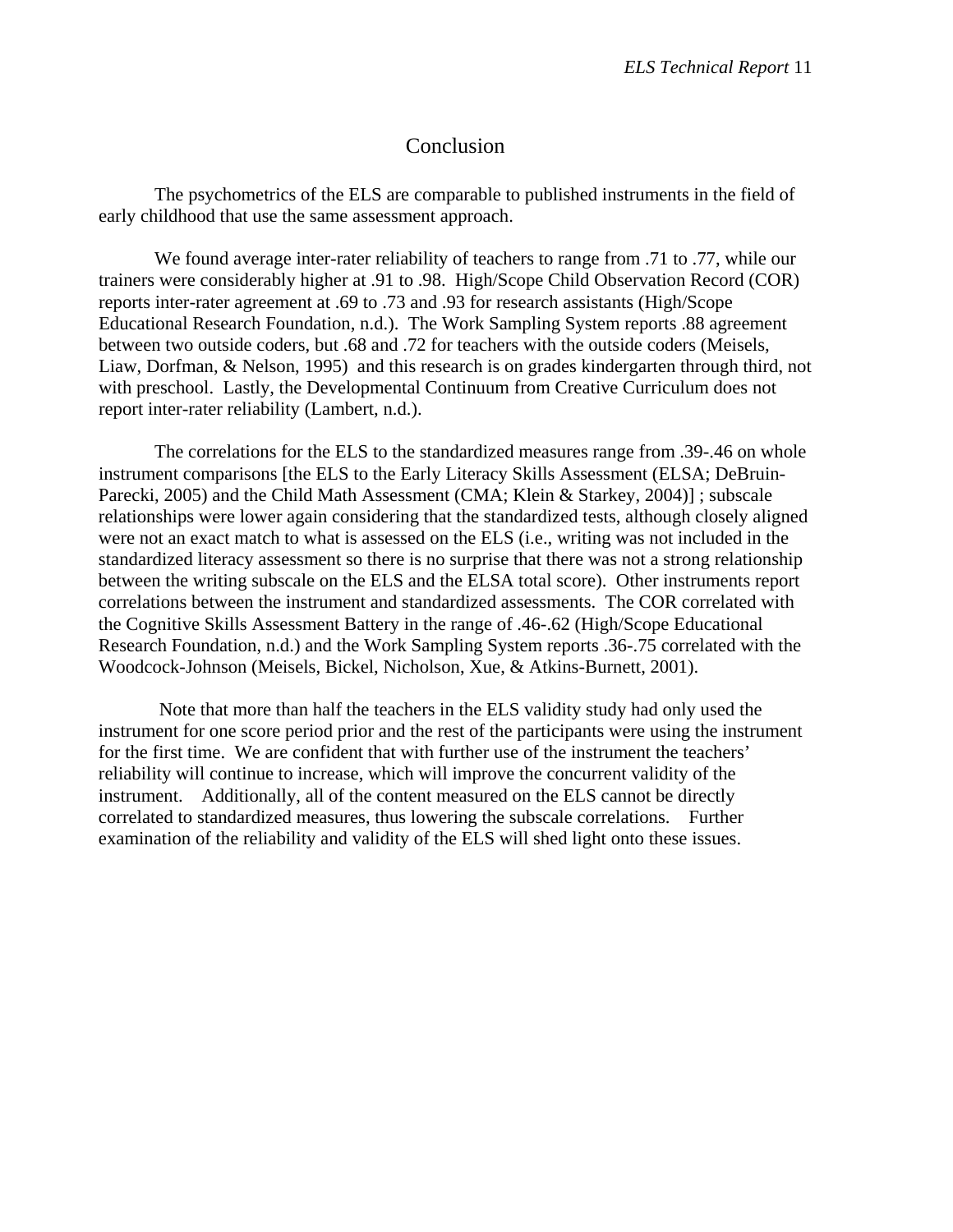## Conclusion

 The psychometrics of the ELS are comparable to published instruments in the field of early childhood that use the same assessment approach.

 We found average inter-rater reliability of teachers to range from .71 to .77, while our trainers were considerably higher at .91 to .98. High/Scope Child Observation Record (COR) reports inter-rater agreement at .69 to .73 and .93 for research assistants (High/Scope Educational Research Foundation, n.d.). The Work Sampling System reports .88 agreement between two outside coders, but .68 and .72 for teachers with the outside coders (Meisels, Liaw, Dorfman, & Nelson, 1995) and this research is on grades kindergarten through third, not with preschool. Lastly, the Developmental Continuum from Creative Curriculum does not report inter-rater reliability (Lambert, n.d.).

 The correlations for the ELS to the standardized measures range from .39-.46 on whole instrument comparisons [the ELS to the Early Literacy Skills Assessment (ELSA; DeBruin-Parecki, 2005) and the Child Math Assessment (CMA; Klein & Starkey, 2004)] ; subscale relationships were lower again considering that the standardized tests, although closely aligned were not an exact match to what is assessed on the ELS (i.e., writing was not included in the standardized literacy assessment so there is no surprise that there was not a strong relationship between the writing subscale on the ELS and the ELSA total score). Other instruments report correlations between the instrument and standardized assessments. The COR correlated with the Cognitive Skills Assessment Battery in the range of .46-.62 (High/Scope Educational Research Foundation, n.d.) and the Work Sampling System reports .36-.75 correlated with the Woodcock-Johnson (Meisels, Bickel, Nicholson, Xue, & Atkins-Burnett, 2001).

 Note that more than half the teachers in the ELS validity study had only used the instrument for one score period prior and the rest of the participants were using the instrument for the first time. We are confident that with further use of the instrument the teachers' reliability will continue to increase, which will improve the concurrent validity of the instrument. Additionally, all of the content measured on the ELS cannot be directly correlated to standardized measures, thus lowering the subscale correlations. Further examination of the reliability and validity of the ELS will shed light onto these issues.